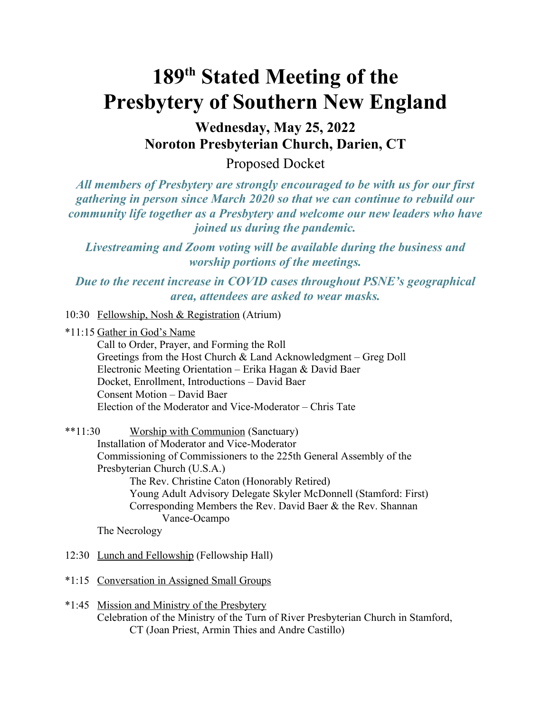## **189th Stated Meeting of the Presbytery of Southern New England**

**Wednesday, May 25, 2022 Noroton Presbyterian Church, Darien, CT**

Proposed Docket

*All members of Presbytery are strongly encouraged to be with us for our first gathering in person since March 2020 so that we can continue to rebuild our community life together as a Presbytery and welcome our new leaders who have joined us during the pandemic.* 

*Livestreaming and Zoom voting will be available during the business and worship portions of the meetings.* 

*Due to the recent increase in COVID cases throughout PSNE's geographical area, attendees are asked to wear masks.*

10:30 Fellowship, Nosh & Registration (Atrium)

\*11:15 Gather in God's Name

Call to Order, Prayer, and Forming the Roll Greetings from the Host Church & Land Acknowledgment – Greg Doll Electronic Meeting Orientation – Erika Hagan & David Baer Docket, Enrollment, Introductions – David Baer Consent Motion – David Baer Election of the Moderator and Vice-Moderator – Chris Tate

## \*\*11:30 Worship with Communion (Sanctuary)

Installation of Moderator and Vice-Moderator Commissioning of Commissioners to the 225th General Assembly of the Presbyterian Church (U.S.A.) The Rev. Christine Caton (Honorably Retired) Young Adult Advisory Delegate Skyler McDonnell (Stamford: First) Corresponding Members the Rev. David Baer & the Rev. Shannan Vance-Ocampo

The Necrology

- 12:30 Lunch and Fellowship (Fellowship Hall)
- \*1:15 Conversation in Assigned Small Groups
- \*1:45 Mission and Ministry of the Presbytery Celebration of the Ministry of the Turn of River Presbyterian Church in Stamford, CT (Joan Priest, Armin Thies and Andre Castillo)